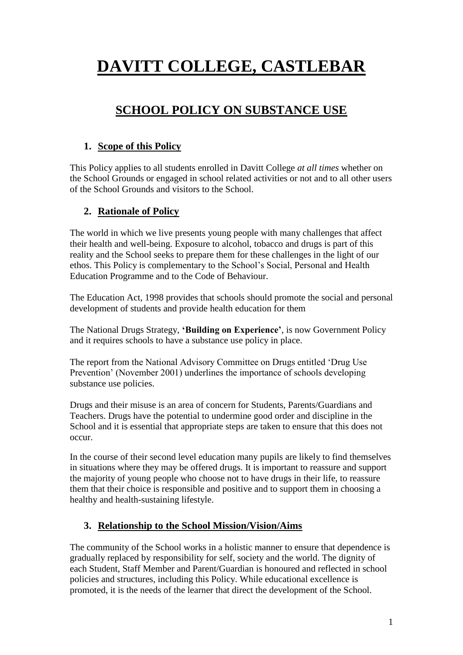# **DAVITT COLLEGE, CASTLEBAR**

# **SCHOOL POLICY ON SUBSTANCE USE**

# **1. Scope of this Policy**

This Policy applies to all students enrolled in Davitt College *at all times* whether on the School Grounds or engaged in school related activities or not and to all other users of the School Grounds and visitors to the School.

# **2. Rationale of Policy**

The world in which we live presents young people with many challenges that affect their health and well-being. Exposure to alcohol, tobacco and drugs is part of this reality and the School seeks to prepare them for these challenges in the light of our ethos. This Policy is complementary to the School's Social, Personal and Health Education Programme and to the Code of Behaviour.

The Education Act, 1998 provides that schools should promote the social and personal development of students and provide health education for them

The National Drugs Strategy, **'Building on Experience'**, is now Government Policy and it requires schools to have a substance use policy in place.

The report from the National Advisory Committee on Drugs entitled 'Drug Use Prevention' (November 2001) underlines the importance of schools developing substance use policies.

Drugs and their misuse is an area of concern for Students, Parents/Guardians and Teachers. Drugs have the potential to undermine good order and discipline in the School and it is essential that appropriate steps are taken to ensure that this does not occur.

In the course of their second level education many pupils are likely to find themselves in situations where they may be offered drugs. It is important to reassure and support the majority of young people who choose not to have drugs in their life, to reassure them that their choice is responsible and positive and to support them in choosing a healthy and health-sustaining lifestyle.

# **3. Relationship to the School Mission/Vision/Aims**

The community of the School works in a holistic manner to ensure that dependence is gradually replaced by responsibility for self, society and the world. The dignity of each Student, Staff Member and Parent/Guardian is honoured and reflected in school policies and structures, including this Policy. While educational excellence is promoted, it is the needs of the learner that direct the development of the School.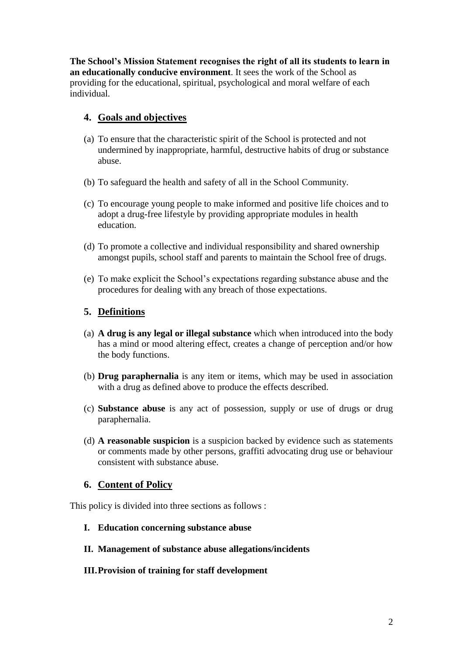**The School's Mission Statement recognises the right of all its students to learn in an educationally conducive environment**. It sees the work of the School as providing for the educational, spiritual, psychological and moral welfare of each individual.

## **4. Goals and objectives**

- (a) To ensure that the characteristic spirit of the School is protected and not undermined by inappropriate, harmful, destructive habits of drug or substance abuse.
- (b) To safeguard the health and safety of all in the School Community.
- (c) To encourage young people to make informed and positive life choices and to adopt a drug-free lifestyle by providing appropriate modules in health education.
- (d) To promote a collective and individual responsibility and shared ownership amongst pupils, school staff and parents to maintain the School free of drugs.
- (e) To make explicit the School's expectations regarding substance abuse and the procedures for dealing with any breach of those expectations.

## **5. Definitions**

- (a) **A drug is any legal or illegal substance** which when introduced into the body has a mind or mood altering effect, creates a change of perception and/or how the body functions.
- (b) **Drug paraphernalia** is any item or items, which may be used in association with a drug as defined above to produce the effects described.
- (c) **Substance abuse** is any act of possession, supply or use of drugs or drug paraphernalia.
- (d) **A reasonable suspicion** is a suspicion backed by evidence such as statements or comments made by other persons, graffiti advocating drug use or behaviour consistent with substance abuse.

## **6. Content of Policy**

This policy is divided into three sections as follows :

**I. Education concerning substance abuse**

#### **II. Management of substance abuse allegations/incidents**

#### **III.Provision of training for staff development**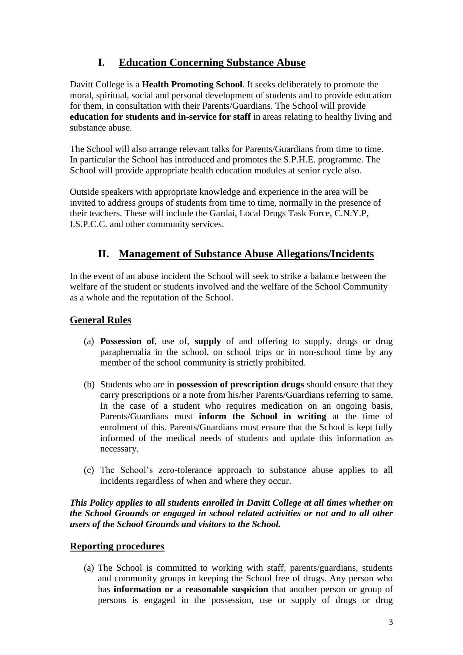# **I. Education Concerning Substance Abuse**

Davitt College is a **Health Promoting School**. It seeks deliberately to promote the moral, spiritual, social and personal development of students and to provide education for them, in consultation with their Parents/Guardians. The School will provide **education for students and in-service for staff** in areas relating to healthy living and substance abuse.

The School will also arrange relevant talks for Parents/Guardians from time to time. In particular the School has introduced and promotes the S.P.H.E. programme. The School will provide appropriate health education modules at senior cycle also.

Outside speakers with appropriate knowledge and experience in the area will be invited to address groups of students from time to time, normally in the presence of their teachers. These will include the Gardai, Local Drugs Task Force, C.N.Y.P, I.S.P.C.C. and other community services.

# **II. Management of Substance Abuse Allegations/Incidents**

In the event of an abuse incident the School will seek to strike a balance between the welfare of the student or students involved and the welfare of the School Community as a whole and the reputation of the School.

## **General Rules**

- (a) **Possession of**, use of, **supply** of and offering to supply, drugs or drug paraphernalia in the school, on school trips or in non-school time by any member of the school community is strictly prohibited.
- (b) Students who are in **possession of prescription drugs** should ensure that they carry prescriptions or a note from his/her Parents/Guardians referring to same. In the case of a student who requires medication on an ongoing basis, Parents/Guardians must **inform the School in writing** at the time of enrolment of this. Parents/Guardians must ensure that the School is kept fully informed of the medical needs of students and update this information as necessary.
- (c) The School's zero-tolerance approach to substance abuse applies to all incidents regardless of when and where they occur.

*This Policy applies to all students enrolled in Davitt College at all times whether on the School Grounds or engaged in school related activities or not and to all other users of the School Grounds and visitors to the School.*

#### **Reporting procedures**

(a) The School is committed to working with staff, parents/guardians, students and community groups in keeping the School free of drugs. Any person who has **information or a reasonable suspicion** that another person or group of persons is engaged in the possession, use or supply of drugs or drug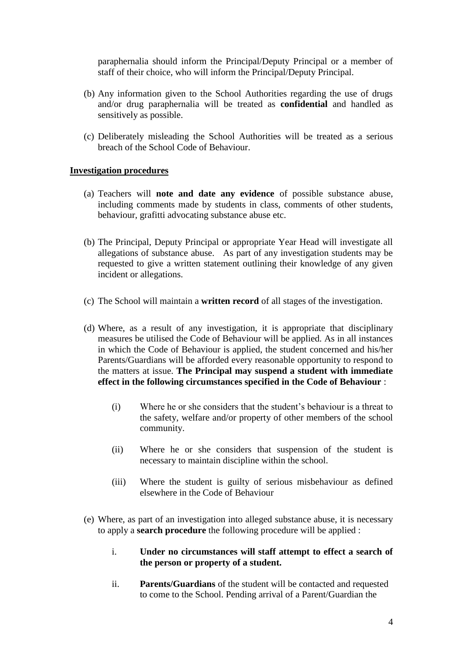paraphernalia should inform the Principal/Deputy Principal or a member of staff of their choice, who will inform the Principal/Deputy Principal.

- (b) Any information given to the School Authorities regarding the use of drugs and/or drug paraphernalia will be treated as **confidential** and handled as sensitively as possible.
- (c) Deliberately misleading the School Authorities will be treated as a serious breach of the School Code of Behaviour.

#### **Investigation procedures**

- (a) Teachers will **note and date any evidence** of possible substance abuse, including comments made by students in class, comments of other students, behaviour, grafitti advocating substance abuse etc.
- (b) The Principal, Deputy Principal or appropriate Year Head will investigate all allegations of substance abuse. As part of any investigation students may be requested to give a written statement outlining their knowledge of any given incident or allegations.
- (c) The School will maintain a **written record** of all stages of the investigation.
- (d) Where, as a result of any investigation, it is appropriate that disciplinary measures be utilised the Code of Behaviour will be applied. As in all instances in which the Code of Behaviour is applied, the student concerned and his/her Parents/Guardians will be afforded every reasonable opportunity to respond to the matters at issue. **The Principal may suspend a student with immediate effect in the following circumstances specified in the Code of Behaviour** :
	- (i) Where he or she considers that the student's behaviour is a threat to the safety, welfare and/or property of other members of the school community.
	- (ii) Where he or she considers that suspension of the student is necessary to maintain discipline within the school.
	- (iii) Where the student is guilty of serious misbehaviour as defined elsewhere in the Code of Behaviour
- (e) Where, as part of an investigation into alleged substance abuse, it is necessary to apply a **search procedure** the following procedure will be applied :
	- i. **Under no circumstances will staff attempt to effect a search of the person or property of a student.**
	- ii. **Parents/Guardians** of the student will be contacted and requested to come to the School. Pending arrival of a Parent/Guardian the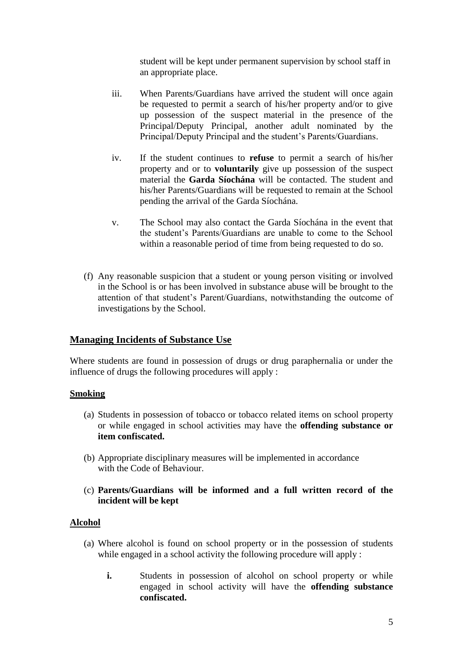student will be kept under permanent supervision by school staff in an appropriate place.

- iii. When Parents/Guardians have arrived the student will once again be requested to permit a search of his/her property and/or to give up possession of the suspect material in the presence of the Principal/Deputy Principal, another adult nominated by the Principal/Deputy Principal and the student's Parents/Guardians.
- iv. If the student continues to **refuse** to permit a search of his/her property and or to **voluntarily** give up possession of the suspect material the **Garda Síochána** will be contacted. The student and his/her Parents/Guardians will be requested to remain at the School pending the arrival of the Garda Síochána.
- v. The School may also contact the Garda Síochána in the event that the student's Parents/Guardians are unable to come to the School within a reasonable period of time from being requested to do so.
- (f) Any reasonable suspicion that a student or young person visiting or involved in the School is or has been involved in substance abuse will be brought to the attention of that student's Parent/Guardians, notwithstanding the outcome of investigations by the School.

#### **Managing Incidents of Substance Use**

Where students are found in possession of drugs or drug paraphernalia or under the influence of drugs the following procedures will apply :

#### **Smoking**

- (a) Students in possession of tobacco or tobacco related items on school property or while engaged in school activities may have the **offending substance or item confiscated.**
- (b) Appropriate disciplinary measures will be implemented in accordance with the Code of Behaviour.
- (c) **Parents/Guardians will be informed and a full written record of the incident will be kept**

#### **Alcohol**

- (a) Where alcohol is found on school property or in the possession of students while engaged in a school activity the following procedure will apply :
	- **i.** Students in possession of alcohol on school property or while engaged in school activity will have the **offending substance confiscated.**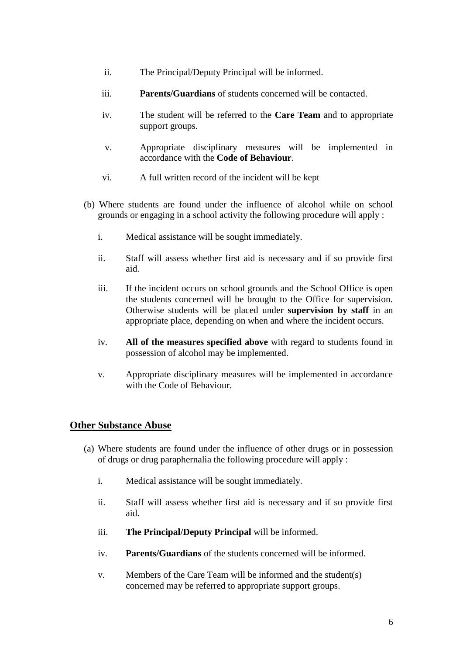- ii. The Principal/Deputy Principal will be informed.
- iii. **Parents/Guardians** of students concerned will be contacted.
- iv. The student will be referred to the **Care Team** and to appropriate support groups.
- v. Appropriate disciplinary measures will be implemented in accordance with the **Code of Behaviour**.
- vi. A full written record of the incident will be kept
- (b) Where students are found under the influence of alcohol while on school grounds or engaging in a school activity the following procedure will apply :
	- i. Medical assistance will be sought immediately.
	- ii. Staff will assess whether first aid is necessary and if so provide first aid.
	- iii. If the incident occurs on school grounds and the School Office is open the students concerned will be brought to the Office for supervision. Otherwise students will be placed under **supervision by staff** in an appropriate place, depending on when and where the incident occurs.
	- iv. **All of the measures specified above** with regard to students found in possession of alcohol may be implemented.
	- v. Appropriate disciplinary measures will be implemented in accordance with the Code of Behaviour.

## **Other Substance Abuse**

- (a) Where students are found under the influence of other drugs or in possession of drugs or drug paraphernalia the following procedure will apply :
	- i. Medical assistance will be sought immediately.
	- ii. Staff will assess whether first aid is necessary and if so provide first aid.
	- iii. **The Principal/Deputy Principal** will be informed.
	- iv. **Parents/Guardians** of the students concerned will be informed.
	- v. Members of the Care Team will be informed and the student(s) concerned may be referred to appropriate support groups.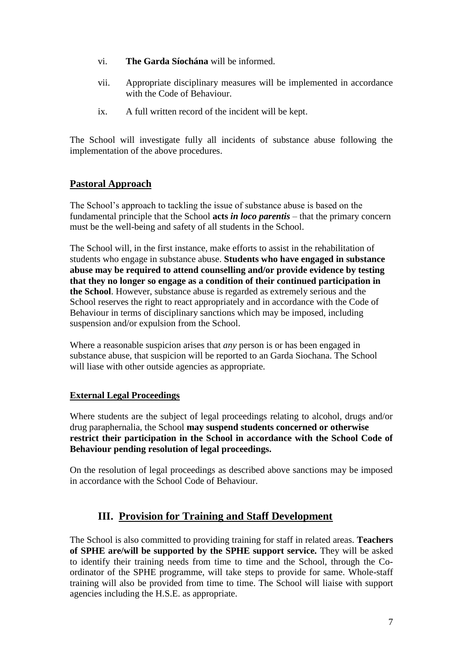- vi. **The Garda Síochána** will be informed.
- vii. Appropriate disciplinary measures will be implemented in accordance with the Code of Behaviour.
- ix. A full written record of the incident will be kept.

The School will investigate fully all incidents of substance abuse following the implementation of the above procedures.

## **Pastoral Approach**

The School's approach to tackling the issue of substance abuse is based on the fundamental principle that the School **acts** *in loco parentis* – that the primary concern must be the well-being and safety of all students in the School.

The School will, in the first instance, make efforts to assist in the rehabilitation of students who engage in substance abuse. **Students who have engaged in substance abuse may be required to attend counselling and/or provide evidence by testing that they no longer so engage as a condition of their continued participation in the School**. However, substance abuse is regarded as extremely serious and the School reserves the right to react appropriately and in accordance with the Code of Behaviour in terms of disciplinary sanctions which may be imposed, including suspension and/or expulsion from the School.

Where a reasonable suspicion arises that *any* person is or has been engaged in substance abuse, that suspicion will be reported to an Garda Siochana. The School will liase with other outside agencies as appropriate.

#### **External Legal Proceedings**

Where students are the subject of legal proceedings relating to alcohol, drugs and/or drug paraphernalia, the School **may suspend students concerned or otherwise restrict their participation in the School in accordance with the School Code of Behaviour pending resolution of legal proceedings.** 

On the resolution of legal proceedings as described above sanctions may be imposed in accordance with the School Code of Behaviour.

# **III. Provision for Training and Staff Development**

The School is also committed to providing training for staff in related areas. **Teachers of SPHE are/will be supported by the SPHE support service.** They will be asked to identify their training needs from time to time and the School, through the Coordinator of the SPHE programme, will take steps to provide for same. Whole-staff training will also be provided from time to time. The School will liaise with support agencies including the H.S.E. as appropriate.